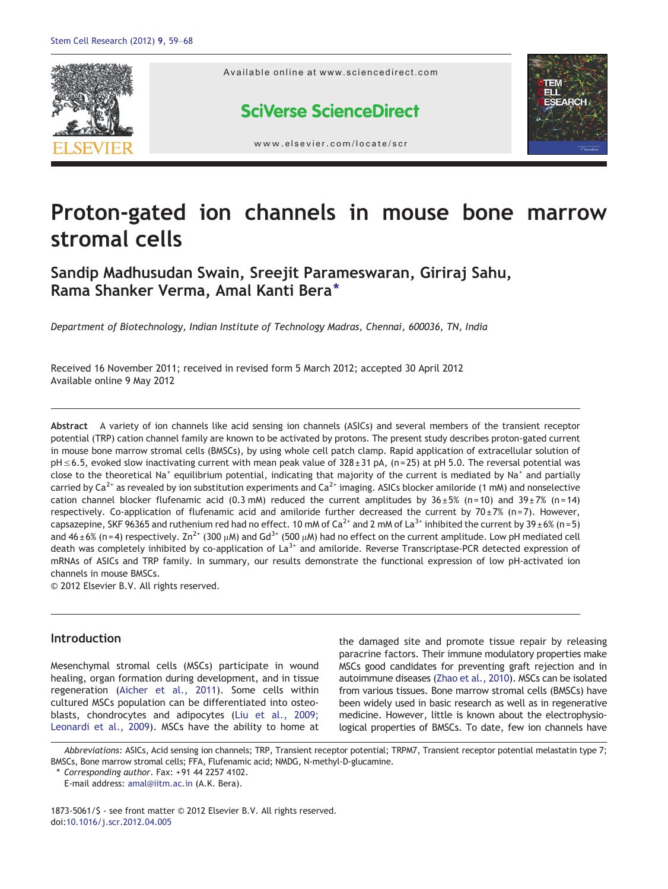

# Proton-gated ion channels in mouse bone marrow stromal cells

# Sandip Madhusudan Swain, Sreejit Parameswaran, Giriraj Sahu, Rama Shanker Verma, Amal Kanti Bera<sup>\*</sup>

Department of Biotechnology, Indian Institute of Technology Madras, Chennai, 600036, TN, India

Received 16 November 2011; received in revised form 5 March 2012; accepted 30 April 2012 Available online 9 May 2012

Abstract A variety of ion channels like acid sensing ion channels (ASICs) and several members of the transient receptor potential (TRP) cation channel family are known to be activated by protons. The present study describes proton‐gated current in mouse bone marrow stromal cells (BMSCs), by using whole cell patch clamp. Rapid application of extracellular solution of pH≤6.5, evoked slow inactivating current with mean peak value of 328 ± 31 pA, (n=25) at pH 5.0. The reversal potential was close to the theoretical Na<sup>+</sup> equilibrium potential, indicating that majority of the current is mediated by Na<sup>+</sup> and partially carried by Ca<sup>2+</sup> as revealed by ion substitution experiments and Ca<sup>2+</sup> imaging. ASICs blocker amiloride (1 mM) and nonselective cation channel blocker flufenamic acid (0.3 mM) reduced the current amplitudes by  $36 \pm 5\%$  (n=10) and  $39 \pm 7\%$  (n=14) respectively. Co-application of flufenamic acid and amiloride further decreased the current by  $70 \pm 7$ % (n=7). However, capsazepine, SKF 96365 and ruthenium red had no effect. 10 mM of Ca<sup>2+</sup> and 2 mM of La<sup>3+</sup> inhibited the current by 39 $\pm$ 6% (n=5) and 46 ± 6% (n=4) respectively. Zn<sup>2+</sup> (300  $\mu$ M) and Gd<sup>3+</sup> (500  $\mu$ M) had no effect on the current amplitude. Low pH mediated cell death was completely inhibited by co-application of  $La^{3+}$  and amiloride. Reverse Transcriptase-PCR detected expression of mRNAs of ASICs and TRP family. In summary, our results demonstrate the functional expression of low pH‐activated ion channels in mouse BMSCs.

© 2012 Elsevier B.V. All rights reserved.

# Introduction

Mesenchymal stromal cells (MSCs) participate in wound healing, organ formation during development, and in tissue regeneration ([Aicher et al., 2011](#page-8-0)). Some cells within cultured MSCs population can be differentiated into osteoblasts, chondrocytes and adipocytes ([Liu et al., 2009;](#page-8-0) [Leonardi et al., 2009](#page-8-0)). MSCs have the ability to home at the damaged site and promote tissue repair by releasing paracrine factors. Their immune modulatory properties make MSCs good candidates for preventing graft rejection and in autoimmune diseases [\(Zhao et al., 2010](#page-9-0)). MSCs can be isolated from various tissues. Bone marrow stromal cells (BMSCs) have been widely used in basic research as well as in regenerative medicine. However, little is known about the electrophysiological properties of BMSCs. To date, few ion channels have

Abbreviations: ASICs, Acid sensing ion channels; TRP, Transient receptor potential; TRPM7, Transient receptor potential melastatin type 7; BMSCs, Bone marrow stromal cells; FFA, Flufenamic acid; NMDG, N-methyl-D-glucamine.

⁎ Corresponding author. Fax: +91 44 2257 4102.

1873-5061/\$ - see front matter © 2012 Elsevier B.V. All rights reserved. doi[:10.1016/j.scr.2012.04.005](http://dx.doi.org/10.1016/j.scr.2012.04.005)

E-mail address: [amal@iitm.ac.in](mailto:amal@iitm.ac.in) (A.K. Bera).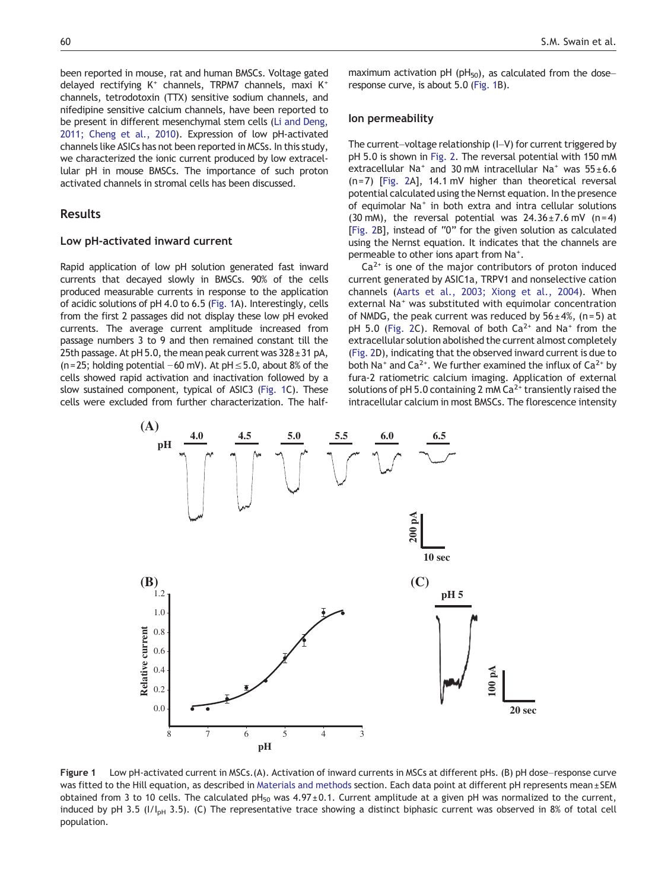<span id="page-1-0"></span>been reported in mouse, rat and human BMSCs. Voltage gated delayed rectifying  $K^+$  channels, TRPM7 channels, maxi  $K^+$ channels, tetrodotoxin (TTX) sensitive sodium channels, and nifedipine sensitive calcium channels, have been reported to be present in different mesenchymal stem cells [\(Li and Deng,](#page-8-0) [2011; Cheng et al., 2010\)](#page-8-0). Expression of low pH‐activated channels like ASICs has not been reported in MCSs. In this study, we characterized the ionic current produced by low extracellular pH in mouse BMSCs. The importance of such proton activated channels in stromal cells has been discussed.

# Results

#### Low pH‐activated inward current

Rapid application of low pH solution generated fast inward currents that decayed slowly in BMSCs. 90% of the cells produced measurable currents in response to the application of acidic solutions of pH 4.0 to 6.5 (Fig. 1A). Interestingly, cells from the first 2 passages did not display these low pH evoked currents. The average current amplitude increased from passage numbers 3 to 9 and then remained constant till the 25th passage. At pH 5.0, the mean peak current was  $328 \pm 31$  pA, (n=25; holding potential −60 mV). At pH≤5.0, about 8% of the cells showed rapid activation and inactivation followed by a slow sustained component, typical of ASIC3 (Fig. 1C). These cells were excluded from further characterization. The halfmaximum activation pH (pH $_{50}$ ), as calculated from the dose– response curve, is about 5.0 (Fig. 1B).

#### Ion permeability

The current–voltage relationship (I–V) for current triggered by pH 5.0 is shown in [Fig. 2.](#page-3-0) The reversal potential with 150 mM extracellular Na<sup>+</sup> and 30 mM intracellular Na<sup>+</sup> was  $55 \pm 6.6$ (n= 7) [\[Fig. 2A](#page-3-0)], 14.1 mV higher than theoretical reversal potential calculated using the Nernst equation. In the presence of equimolar Na<sup>+</sup> in both extra and intra cellular solutions (30 mM), the reversal potential was  $24.36 \pm 7.6$  mV (n=4) [\[Fig. 2](#page-3-0)B], instead of "0" for the given solution as calculated using the Nernst equation. It indicates that the channels are permeable to other ions apart from Na<sup>+</sup>.

 $Ca<sup>2+</sup>$  is one of the major contributors of proton induced current generated by ASIC1a, TRPV1 and nonselective cation channels ([Aarts et al., 2003; Xiong et al., 2004](#page-8-0)). When external Na<sup>+</sup> was substituted with equimolar concentration of NMDG, the peak current was reduced by  $56 \pm 4\%$ , (n=5) at pH 5.0 ([Fig. 2C](#page-3-0)). Removal of both  $Ca^{2+}$  and Na<sup>+</sup> from the extracellular solution abolished the current almost completely [\(Fig. 2D](#page-3-0)), indicating that the observed inward current is due to both Na<sup>+</sup> and Ca<sup>2+</sup>. We further examined the influx of Ca<sup>2+</sup> by fura-2 ratiometric calcium imaging. Application of external solutions of pH 5.0 containing 2 mM  $Ca<sup>2+</sup>$  transiently raised the intracellular calcium in most BMSCs. The florescence intensity



Figure 1 Low pH-activated current in MSCs.(A). Activation of inward currents in MSCs at different pHs. (B) pH dose–response curve was fitted to the Hill equation, as described in [Materials and methods](#page-6-0) section. Each data point at different pH represents mean ± SEM obtained from 3 to 10 cells. The calculated  $pH_{50}$  was 4.97 ± 0.1. Current amplitude at a given pH was normalized to the current, induced by pH 3.5 ( $I/I_{\rm pH}$  3.5). (C) The representative trace showing a distinct biphasic current was observed in 8% of total cell population.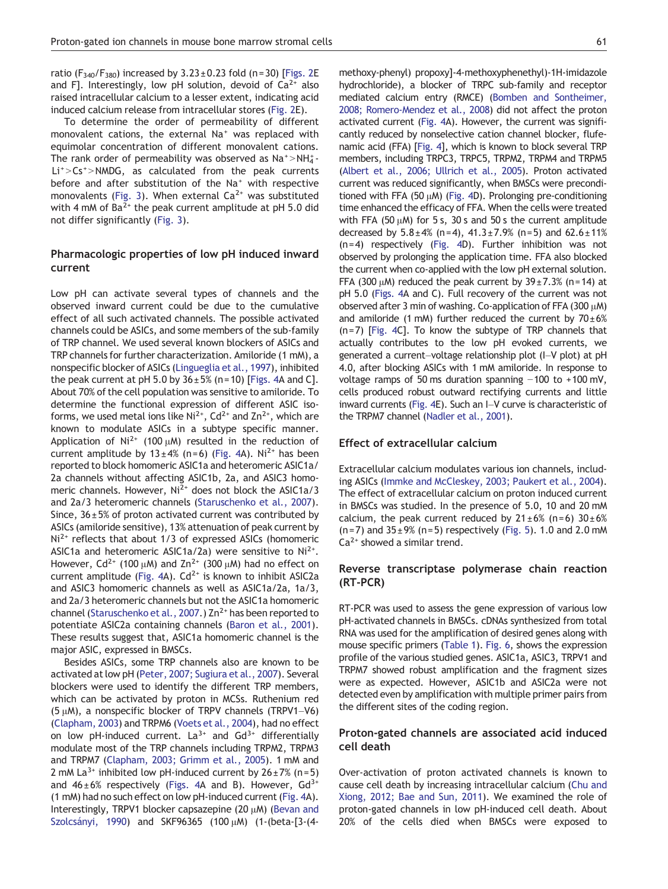ratio ( $F_{340}/F_{380}$ ) increased by  $3.23 \pm 0.23$  fold (n=30) [[Figs. 2E](#page-3-0) and F]. Interestingly, low pH solution, devoid of  $Ca^{2+}$  also raised intracellular calcium to a lesser extent, indicating acid induced calcium release from intracellular stores ([Fig. 2E](#page-3-0)).

To determine the order of permeability of different monovalent cations, the external Na<sup>+</sup> was replaced with equimolar concentration of different monovalent cations. The rank order of permeability was observed as  $\text{Na}^+\text{>} \text{NH}_4^+$ - $Li^+$  > Cs<sup>+</sup> > NMDG, as calculated from the peak currents before and after substitution of the Na<sup>+</sup> with respective monovalents ([Fig. 3](#page-4-0)). When external  $Ca<sup>2+</sup>$  was substituted with 4 mM of  $Ba^{2+}$  the peak current amplitude at pH 5.0 did not differ significantly [\(Fig. 3\)](#page-4-0).

# Pharmacologic properties of low pH induced inward current

Low pH can activate several types of channels and the observed inward current could be due to the cumulative effect of all such activated channels. The possible activated channels could be ASICs, and some members of the sub-family of TRP channel. We used several known blockers of ASICs and TRP channels for further characterization. Amiloride (1 mM), a nonspecific blocker of ASICs ([Lingueglia et al., 1997](#page-8-0)), inhibited the peak current at pH 5.0 by  $36 \pm 5\%$  (n=10) [[Figs. 4A](#page-5-0) and C]. About 70% of the cell population was sensitive to amiloride. To determine the functional expression of different ASIC isoforms, we used metal ions like Ni<sup>2+</sup>, Cd<sup>2+</sup> and Zn<sup>2+</sup>, which are known to modulate ASICs in a subtype specific manner. Application of Ni<sup>2+</sup> (100  $\mu$ M) resulted in the reduction of current amplitude by  $13 \pm 4\%$  (n=6) [\(Fig. 4A](#page-5-0)). Ni<sup>2+</sup> has been reported to block homomeric ASIC1a and heteromeric ASIC1a/ 2a channels without affecting ASIC1b, 2a, and ASIC3 homomeric channels. However, Ni<sup>2+</sup> does not block the ASIC1a/3 and 2a/3 heteromeric channels [\(Staruschenko et al., 2007](#page-8-0)). Since,  $36 \pm 5%$  of proton activated current was contributed by ASICs (amiloride sensitive), 13% attenuation of peak current by  $Ni<sup>2+</sup>$  reflects that about 1/3 of expressed ASICs (homomeric ASIC1a and heteromeric ASIC1a/2a) were sensitive to  $Ni^{2+}$ . However, Cd<sup>2+</sup> (100  $\mu$ M) and Zn<sup>2+</sup> (300  $\mu$ M) had no effect on current amplitude [\(Fig. 4A](#page-5-0)).  $Cd^{2+}$  is known to inhibit ASIC2a and ASIC3 homomeric channels as well as ASIC1a/2a, 1a/3, and 2a/3 heteromeric channels but not the ASIC1a homomeric channel ([Staruschenko et al., 2007.](#page-8-0)) Zn<sup>2+</sup> has been reported to potentiate ASIC2a containing channels ([Baron et al., 2001](#page-8-0)). These results suggest that, ASIC1a homomeric channel is the major ASIC, expressed in BMSCs.

Besides ASICs, some TRP channels also are known to be activated at low pH ([Peter, 2007; Sugiura et al., 2007\)](#page-8-0). Several blockers were used to identify the different TRP members, which can be activated by proton in MCSs. Ruthenium red (5  $\mu$ M), a nonspecific blocker of TRPV channels (TRPV1–V6) ([Clapham, 2003\)](#page-8-0) and TRPM6 ([Voets et al., 2004](#page-9-0)), had no effect on low pH-induced current.  $La^{3+}$  and  $Gd^{3+}$  differentially modulate most of the TRP channels including TRPM2, TRPM3 and TRPM7 [\(Clapham, 2003; Grimm et al., 2005\)](#page-8-0). 1 mM and 2 mM La<sup>3+</sup> inhibited low pH-induced current by  $26 \pm 7\%$  (n=5) and  $46 \pm 6\%$  respectively ([Figs. 4](#page-5-0)A and B). However,  $Gd^{3+}$ (1 mM) had no such effect on low pH‐induced current [\(Fig. 4A](#page-5-0)). Interestingly, TRPV1 blocker capsazepine (20 μM) [\(Bevan and](#page-8-0) [Szolcsányi, 1990\)](#page-8-0) and SKF96365 (100 μM) (1-(beta-[3-(4methoxy-phenyl) propoxy]-4-methoxyphenethyl)-1H‐imidazole hydrochloride), a blocker of TRPC sub-family and receptor mediated calcium entry (RMCE) ([Bomben and Sontheimer,](#page-8-0) [2008; Romero-Mendez et al., 2008\)](#page-8-0) did not affect the proton activated current ([Fig. 4](#page-5-0)A). However, the current was significantly reduced by nonselective cation channel blocker, flufenamic acid (FFA) [\[Fig. 4\]](#page-5-0), which is known to block several TRP members, including TRPC3, TRPC5, TRPM2, TRPM4 and TRPM5 [\(Albert et al., 2006; Ullrich et al., 2005](#page-8-0)). Proton activated current was reduced significantly, when BMSCs were preconditioned with FFA (50  $\mu$ M) [\(Fig. 4](#page-5-0)D). Prolonging pre-conditioning time enhanced the efficacy of FFA. When the cells were treated with FFA (50  $\mu$ M) for 5 s, 30 s and 50 s the current amplitude decreased by  $5.8 \pm 4\%$  (n=4),  $41.3 \pm 7.9\%$  (n=5) and  $62.6 \pm 11\%$ (n=4) respectively ([Fig. 4](#page-5-0)D). Further inhibition was not observed by prolonging the application time. FFA also blocked the current when co-applied with the low pH external solution. FFA (300  $\mu$ M) reduced the peak current by 39 $\pm$ 7.3% (n=14) at pH 5.0 [\(Figs. 4A](#page-5-0) and C). Full recovery of the current was not observed after 3 min of washing. Co-application of FFA (300  $\mu$ M) and amiloride (1 mM) further reduced the current by  $70\pm6\%$ (n=7) [\[Fig. 4](#page-5-0)C]. To know the subtype of TRP channels that actually contributes to the low pH evoked currents, we generated a current–voltage relationship plot (I–V plot) at pH 4.0, after blocking ASICs with 1 mM amiloride. In response to voltage ramps of 50 ms duration spanning −100 to +100 mV, cells produced robust outward rectifying currents and little inward currents [\(Fig. 4](#page-5-0)E). Such an I–V curve is characteristic of the TRPM7 channel [\(Nadler et al., 2001\)](#page-8-0).

#### Effect of extracellular calcium

Extracellular calcium modulates various ion channels, including ASICs [\(Immke and McCleskey, 2003; Paukert et al., 2004](#page-8-0)). The effect of extracellular calcium on proton induced current in BMSCs was studied. In the presence of 5.0, 10 and 20 mM calcium, the peak current reduced by  $21 \pm 6\%$  (n=6)  $30 \pm 6\%$  $(n= 7)$  and  $35 \pm 9\%$  (n=5) respectively ([Fig. 5\)](#page-6-0). 1.0 and 2.0 mM  $Ca<sup>2+</sup>$  showed a similar trend.

# Reverse transcriptase polymerase chain reaction (RT-PCR)

RT-PCR was used to assess the gene expression of various low pH‐activated channels in BMSCs. cDNAs synthesized from total RNA was used for the amplification of desired genes along with mouse specific primers [\(Table 1\)](#page-7-0). [Fig. 6,](#page-7-0) shows the expression profile of the various studied genes. ASIC1a, ASIC3, TRPV1 and TRPM7 showed robust amplification and the fragment sizes were as expected. However, ASIC1b and ASIC2a were not detected even by amplification with multiple primer pairs from the different sites of the coding region.

### Proton‐gated channels are associated acid induced cell death

Over-activation of proton activated channels is known to cause cell death by increasing intracellular calcium ([Chu and](#page-8-0) [Xiong, 2012; Bae and Sun, 2011](#page-8-0)). We examined the role of proton-gated channels in low pH‐induced cell death. About 20% of the cells died when BMSCs were exposed to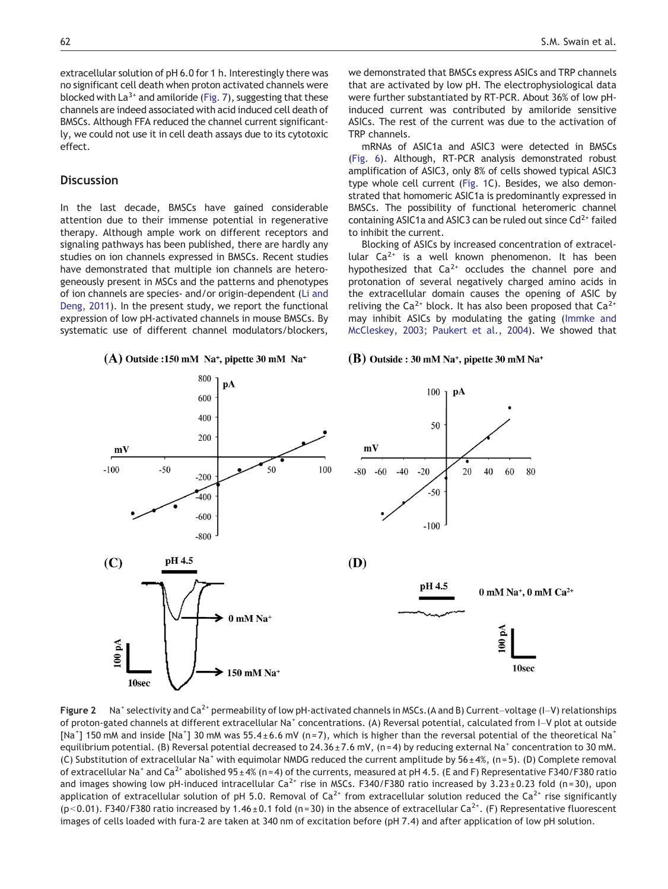<span id="page-3-0"></span>extracellular solution of pH 6.0 for 1 h. Interestingly there was no significant cell death when proton activated channels were blocked with  $La^{3+}$  and amiloride ([Fig. 7\)](#page-7-0), suggesting that these channels are indeed associated with acid induced cell death of BMSCs. Although FFA reduced the channel current significantly, we could not use it in cell death assays due to its cytotoxic effect.

# **Discussion**

In the last decade, BMSCs have gained considerable attention due to their immense potential in regenerative therapy. Although ample work on different receptors and signaling pathways has been published, there are hardly any studies on ion channels expressed in BMSCs. Recent studies have demonstrated that multiple ion channels are heterogeneously present in MSCs and the patterns and phenotypes of ion channels are species- and/or origin-dependent [\(Li and](#page-8-0) [Deng, 2011](#page-8-0)). In the present study, we report the functional expression of low pH‐activated channels in mouse BMSCs. By systematic use of different channel modulators/blockers,

 $(A)$  Outside :150 mM Na<sup>+</sup>, pipette 30 mM Na<sup>+</sup>

we demonstrated that BMSCs express ASICs and TRP channels that are activated by low pH. The electrophysiological data were further substantiated by RT-PCR. About 36% of low pH‐ induced current was contributed by amiloride sensitive ASICs. The rest of the current was due to the activation of TRP channels.

mRNAs of ASIC1a and ASIC3 were detected in BMSCs [\(Fig. 6](#page-7-0)). Although, RT-PCR analysis demonstrated robust amplification of ASIC3, only 8% of cells showed typical ASIC3 type whole cell current [\(Fig. 1](#page-1-0)C). Besides, we also demonstrated that homomeric ASIC1a is predominantly expressed in BMSCs. The possibility of functional heteromeric channel containing ASIC1a and ASIC3 can be ruled out since  $Cd^{2+}$  failed to inhibit the current.

Blocking of ASICs by increased concentration of extracellular  $Ca^{2+}$  is a well known phenomenon. It has been hypothesized that  $Ca^{2+}$  occludes the channel pore and protonation of several negatively charged amino acids in the extracellular domain causes the opening of ASIC by reliving the Ca<sup>2+</sup> block. It has also been proposed that  $Ca^{2+}$ may inhibit ASICs by modulating the gating ([Immke and](#page-8-0) [McCleskey, 2003; Paukert et al., 2004](#page-8-0)). We showed that

#### $(B)$  Outside : 30 mM Na<sup>+</sup>, pipette 30 mM Na<sup>+</sup>



Figure 2 Na<sup>+</sup> selectivity and Ca<sup>2+</sup> permeability of low pH-activated channels in MSCs. (A and B) Current–voltage (I–V) relationships of proton-gated channels at different extracellular Na<sup>+</sup> concentrations. (A) Reversal potential, calculated from I–V plot at outside [Na<sup>+</sup>] 150 mM and inside [Na<sup>+</sup>] 30 mM was 55.4±6.6 mV (n=7), which is higher than the reversal potential of the theoretical Na<sup>+</sup> equilibrium potential. (B) Reversal potential decreased to 24.36 ± 7.6 mV, (n=4) by reducing external Na<sup>+</sup> concentration to 30 mM. (C) Substitution of extracellular Na<sup>+</sup> with equimolar NMDG reduced the current amplitude by  $56 \pm 4\%$ , (n=5). (D) Complete removal of extracellular Na<sup>+</sup> and Ca<sup>2+</sup> abolished 95 ± 4% (n = 4) of the currents, measured at pH 4.5. (E and F) Representative F340/F380 ratio and images showing low pH-induced intracellular  $Ca^{2+}$  rise in MSCs. F340/F380 ratio increased by 3.23 ± 0.23 fold (n = 30), upon application of extracellular solution of pH 5.0. Removal of  $Ca^{2+}$  from extracellular solution reduced the  $Ca^{2+}$  rise significantly (p<0.01). F340/F380 ratio increased by 1.46 ± 0.1 fold (n = 30) in the absence of extracellular Ca<sup>2+</sup>. (F) Representative fluorescent images of cells loaded with fura-2 are taken at 340 nm of excitation before (pH 7.4) and after application of low pH solution.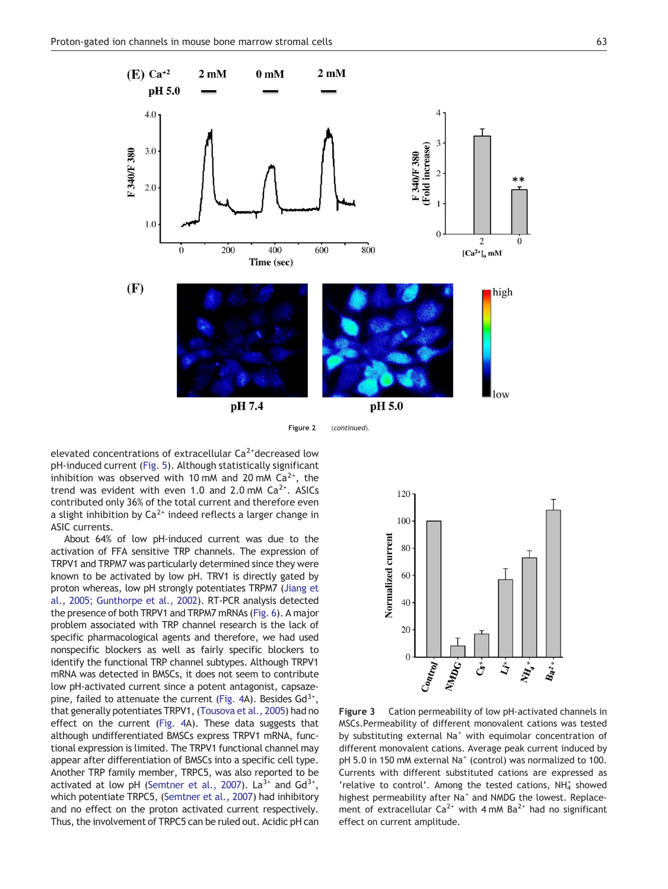<span id="page-4-0"></span>

Figure 2 (continued).

elevated concentrations of extracellular  $Ca<sup>2+</sup>$  decreased low pH-induced current ([Fig. 5](#page-6-0)). Although statistically significant inhibition was observed with 10 mM and 20 mM  $Ca^{2+}$ , the trend was evident with even 1.0 and 2.0 mM  $Ca<sup>2+</sup>$ . ASICs contributed only 36% of the total current and therefore even a slight inhibition by  $Ca^{2+}$  indeed reflects a larger change in ASIC currents.

About 64% of low pH‐induced current was due to the activation of FFA sensitive TRP channels. The expression of TRPV1 and TRPM7 was particularly determined since they were known to be activated by low pH. TRV1 is directly gated by proton whereas, low pH strongly potentiates TRPM7 [\(Jiang et](#page-8-0) [al., 2005; Gunthorpe et al., 2002\)](#page-8-0). RT-PCR analysis detected the presence of both TRPV1 and TRPM7 mRNAs ([Fig. 6\)](#page-7-0). A major problem associated with TRP channel research is the lack of specific pharmacological agents and therefore, we had used nonspecific blockers as well as fairly specific blockers to identify the functional TRP channel subtypes. Although TRPV1 mRNA was detected in BMSCs, it does not seem to contribute low pH‐activated current since a potent antagonist, capsaze-pine, failed to attenuate the current ([Fig. 4A](#page-5-0)). Besides  $Gd^{3+}$ , that generally potentiates TRPV1, ([Tousova et al., 2005](#page-9-0)) had no effect on the current [\(Fig. 4A](#page-5-0)). These data suggests that although undifferentiated BMSCs express TRPV1 mRNA, functional expression is limited. The TRPV1 functional channel may appear after differentiation of BMSCs into a specific cell type. Another TRP family member, TRPC5, was also reported to be activated at low pH [\(Semtner et al., 2007](#page-8-0)). La<sup>3+</sup> and  $Gd^{3+}$ , which potentiate TRPC5, [\(Semtner et al., 2007](#page-8-0)) had inhibitory and no effect on the proton activated current respectively. Thus, the involvement of TRPC5 can be ruled out. Acidic pH can



Figure 3 Cation permeability of low pH-activated channels in MSCs.Permeability of different monovalent cations was tested by substituting external Na<sup>+</sup> with equimolar concentration of different monovalent cations. Average peak current induced by pH 5.0 in 150 mM external Na<sup>+</sup> (control) was normalized to 100. Currents with different substituted cations are expressed as 'relative to control'. Among the tested cations, NH4 showed highest permeability after Na<sup>+</sup> and NMDG the lowest. Replacement of extracellular  $Ca^{2+}$  with 4 mM  $Ba^{2+}$  had no significant effect on current amplitude.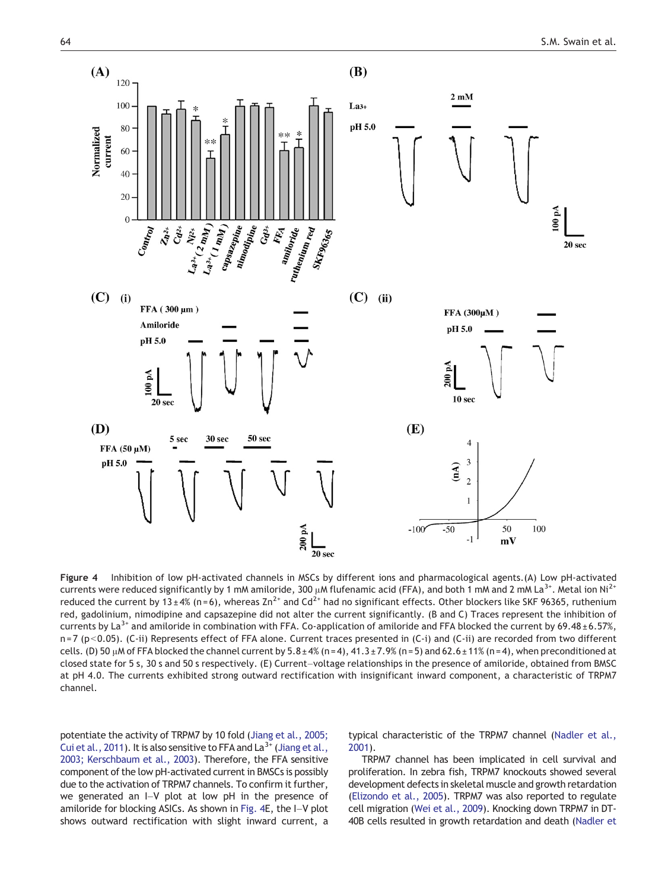<span id="page-5-0"></span>

Figure 4 Inhibition of low pH-activated channels in MSCs by different ions and pharmacological agents.(A) Low pH-activated currents were reduced significantly by 1 mM amiloride, 300  $\mu$ M flufenamic acid (FFA), and both 1 mM and 2 mM La<sup>3+</sup>. Metal ion Ni<sup>2+</sup> reduced the current by 13 ± 4% (n=6), whereas  $Zn^{2+}$  and Cd<sup>2+</sup> had no significant effects. Other blockers like SKF 96365, ruthenium red, gadolinium, nimodipine and capsazepine did not alter the current significantly. (B and C) Traces represent the inhibition of currents by La<sup>3+</sup> and amiloride in combination with FFA. Co-application of amiloride and FFA blocked the current by 69.48 ± 6.57%, n = 7 (p<0.05). (C-ii) Represents effect of FFA alone. Current traces presented in (C-i) and (C-ii) are recorded from two different cells. (D) 50 μM of FFA blocked the channel current by  $5.8 \pm 4\%$  (n=4),  $41.3 \pm 7.9\%$  (n=5) and 62.6 $\pm 11\%$  (n=4), when preconditioned at closed state for 5 s, 30 s and 50 s respectively. (E) Current–voltage relationships in the presence of amiloride, obtained from BMSC at pH 4.0. The currents exhibited strong outward rectification with insignificant inward component, a characteristic of TRPM7 channel.

potentiate the activity of TRPM7 by 10 fold [\(Jiang et al., 2005;](#page-8-0) [Cui et al., 2011\)](#page-8-0). It is also sensitive to FFA and  $La^{3+}$  [\(Jiang et al.,](#page-8-0) [2003; Kerschbaum et al., 2003\)](#page-8-0). Therefore, the FFA sensitive component of the low pH‐activated current in BMSCs is possibly due to the activation of TRPM7 channels. To confirm it further, we generated an I–V plot at low pH in the presence of amiloride for blocking ASICs. As shown in Fig. 4E, the I–V plot shows outward rectification with slight inward current, a typical characteristic of the TRPM7 channel ([Nadler et al.,](#page-8-0) [2001](#page-8-0)).

TRPM7 channel has been implicated in cell survival and proliferation. In zebra fish, TRPM7 knockouts showed several development defects in skeletal muscle and growth retardation [\(Elizondo et al., 2005](#page-8-0)). TRPM7 was also reported to regulate cell migration [\(Wei et al., 2009\)](#page-9-0). Knocking down TRPM7 in DT-40B cells resulted in growth retardation and death [\(Nadler et](#page-8-0)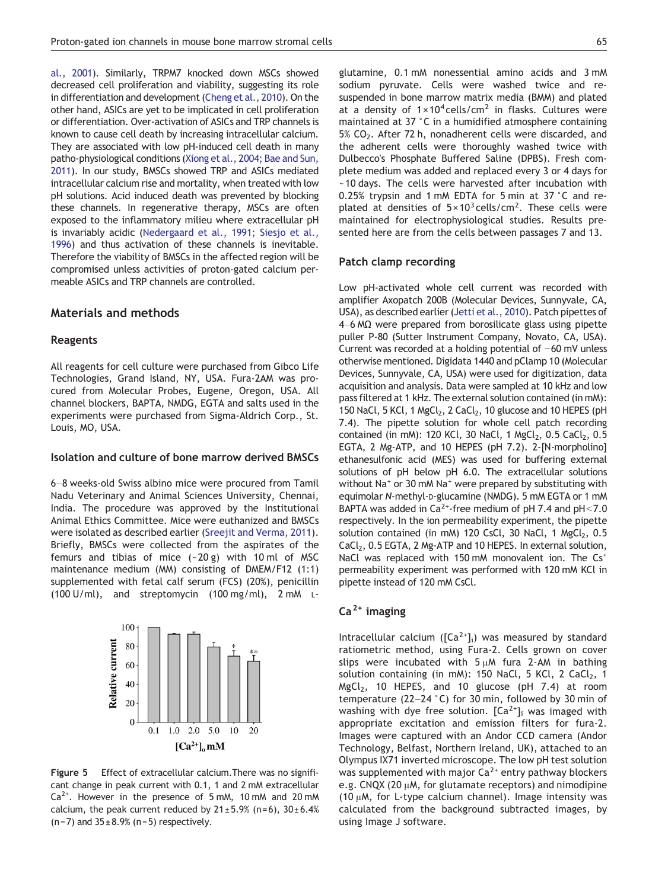<span id="page-6-0"></span>[al., 2001](#page-8-0)). Similarly, TRPM7 knocked down MSCs showed decreased cell proliferation and viability, suggesting its role in differentiation and development [\(Cheng et al., 2010](#page-8-0)). On the other hand, ASICs are yet to be implicated in cell proliferation or differentiation. Over-activation of ASICs and TRP channels is known to cause cell death by increasing intracellular calcium. They are associated with low pH-induced cell death in many patho-physiological conditions ([Xiong et al., 2004; Bae and Sun,](#page-9-0) [2011](#page-9-0)). In our study, BMSCs showed TRP and ASICs mediated intracellular calcium rise and mortality, when treated with low pH solutions. Acid induced death was prevented by blocking these channels. In regenerative therapy, MSCs are often exposed to the inflammatory milieu where extracellular pH is invariably acidic ([Nedergaard et al., 1991; Siesjo et al.,](#page-8-0) [1996\)](#page-8-0) and thus activation of these channels is inevitable. Therefore the viability of BMSCs in the affected region will be compromised unless activities of proton‐gated calcium permeable ASICs and TRP channels are controlled.

# Materials and methods

#### Reagents

All reagents for cell culture were purchased from Gibco Life Technologies, Grand Island, NY, USA. Fura-2AM was procured from Molecular Probes, Eugene, Oregon, USA. All channel blockers, BAPTA, NMDG, EGTA and salts used in the experiments were purchased from Sigma-Aldrich Corp., St. Louis, MO, USA.

#### Isolation and culture of bone marrow derived BMSCs

6–8 weeks-old Swiss albino mice were procured from Tamil Nadu Veterinary and Animal Sciences University, Chennai, India. The procedure was approved by the Institutional Animal Ethics Committee. Mice were euthanized and BMSCs were isolated as described earlier [\(Sreejit and Verma, 2011\)](#page-8-0). Briefly, BMSCs were collected from the aspirates of the femurs and tibias of mice  $(-20 g)$  with 10 ml of MSC maintenance medium (MM) consisting of DMEM/F12 (1:1) supplemented with fetal calf serum (FCS) (20%), penicillin (100 U/ml), and streptomycin (100 mg/ml), 2 mM L-



Figure 5 Effect of extracellular calcium.There was no significant change in peak current with 0.1, 1 and 2 mM extracellular  $Ca<sup>2+</sup>$ . However in the presence of 5 mM, 10 mM and 20 mM calcium, the peak current reduced by  $21 \pm 5.9\%$  (n=6),  $30 \pm 6.4\%$  $(n=7)$  and  $35 \pm 8.9%$  (n=5) respectively.

glutamine, 0.1 mM nonessential amino acids and 3 mM sodium pyruvate. Cells were washed twice and resuspended in bone marrow matrix media (BMM) and plated at a density of  $1 \times 10^4$  cells/cm<sup>2</sup> in flasks. Cultures were

maintained at 37 °C in a humidified atmosphere containing 5% CO<sub>2</sub>. After 72 h, nonadherent cells were discarded, and the adherent cells were thoroughly washed twice with Dulbecco's Phosphate Buffered Saline (DPBS). Fresh complete medium was added and replaced every 3 or 4 days for ~10 days. The cells were harvested after incubation with 0.25% trypsin and 1 mM EDTA for 5 min at 37 °C and replated at densities of  $5 \times 10^3$  cells/cm<sup>2</sup>. These cells were maintained for electrophysiological studies. Results presented here are from the cells between passages 7 and 13.

#### Patch clamp recording

Low pH-activated whole cell current was recorded with amplifier Axopatch 200B (Molecular Devices, Sunnyvale, CA, USA), as described earlier [\(Jetti et al., 2010](#page-8-0)). Patch pipettes of 4–6 MΩ were prepared from borosilicate glass using pipette puller P-80 (Sutter Instrument Company, Novato, CA, USA). Current was recorded at a holding potential of −60 mV unless otherwise mentioned. Digidata 1440 and pClamp 10 (Molecular Devices, Sunnyvale, CA, USA) were used for digitization, data acquisition and analysis. Data were sampled at 10 kHz and low pass filtered at 1 kHz. The external solution contained (in mM): 150 NaCl, 5 KCl, 1 MgCl $_2$ , 2 CaCl $_2$ , 10 glucose and 10 HEPES (pH 7.4). The pipette solution for whole cell patch recording contained (in mM): 120 KCl, 30 NaCl, 1 MgCl<sub>2</sub>, 0.5 CaCl<sub>2</sub>, 0.5 EGTA, 2 Mg‐ATP, and 10 HEPES (pH 7.2). 2-[N-morpholino] ethanesulfonic acid (MES) was used for buffering external solutions of pH below pH 6.0. The extracellular solutions without Na<sup>+</sup> or 30 mM Na<sup>+</sup> were prepared by substituting with equimolar N-methyl-D-glucamine (NMDG). 5 mM EGTA or 1 mM BAPTA was added in Ca<sup>2+</sup>-free medium of pH 7.4 and pH < 7.0 respectively. In the ion permeability experiment, the pipette solution contained (in mM) 120 CsCl, 30 NaCl, 1  $MgCl<sub>2</sub>$ , 0.5  $CaCl<sub>2</sub>$ , 0.5 EGTA, 2 Mg-ATP and 10 HEPES. In external solution, NaCl was replaced with 150 mM monovalent ion. The Cs<sup>+</sup> permeability experiment was performed with 120 mM KCl in pipette instead of 120 mM CsCl.

# $Ca<sup>2+</sup>$  imaging

Intracellular calcium ( $[Ca^{2+}]_i$ ) was measured by standard ratiometric method, using Fura-2. Cells grown on cover slips were incubated with  $5 \mu$ M fura 2-AM in bathing solution containing (in mM): 150 NaCl, 5 KCl, 2 CaCl<sub>2</sub>, 1  $MgCl<sub>2</sub>$ , 10 HEPES, and 10 glucose (pH 7.4) at room temperature (22–24 °C) for 30 min, followed by 30 min of washing with dye free solution.  $[Ca^{2+}]_i$  was imaged with appropriate excitation and emission filters for fura-2. Images were captured with an Andor CCD camera (Andor Technology, Belfast, Northern Ireland, UK), attached to an Olympus IX71 inverted microscope. The low pH test solution was supplemented with major  $Ca^{2+}$  entry pathway blockers e.g. CNQX (20  $\mu$ M, for glutamate receptors) and nimodipine (10 μM, for L-type calcium channel). Image intensity was calculated from the background subtracted images, by using Image J software.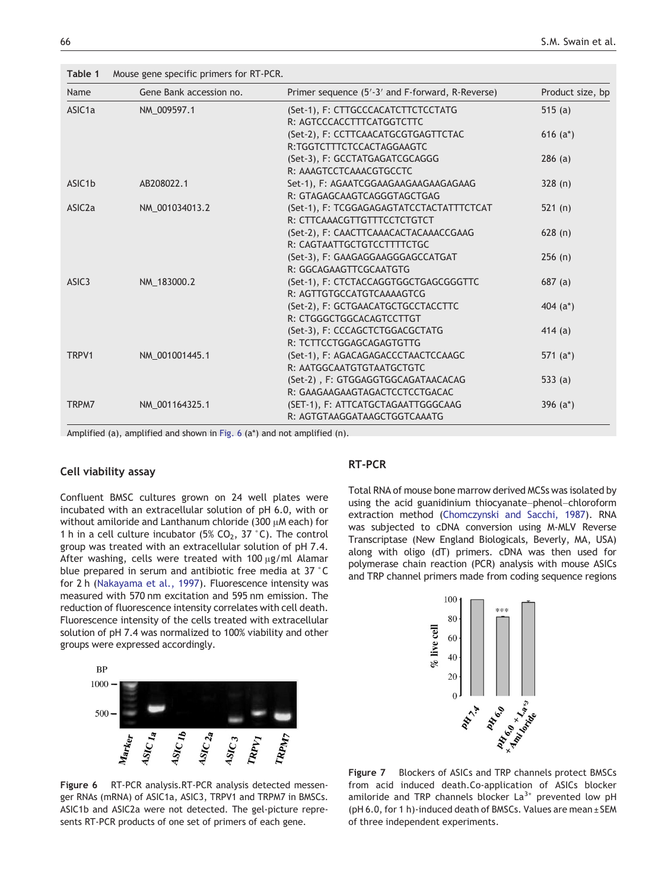<span id="page-7-0"></span>Table 1 Mouse gene specific primers for RT-PCR.

| Name                | Gene Bank accession no. | Primer sequence (5'-3' and F-forward, R-Reverse) | Product size, bp |
|---------------------|-------------------------|--------------------------------------------------|------------------|
| ASIC <sub>1</sub> a | NM 009597.1             | (Set-1), F: CTTGCCCACATCTTCTCCTATG               | 515 $(a)$        |
|                     |                         | R: AGTCCCACCTTTCATGGTCTTC                        |                  |
|                     |                         | (Set-2), F: CCTTCAACATGCGTGAGTTCTAC              | 616 $(a^*)$      |
|                     |                         | R:TGGTCTTTCTCCACTAGGAAGTC                        |                  |
|                     |                         | (Set-3), F: GCCTATGAGATCGCAGGG                   | 286(a)           |
|                     |                         | R: AAAGTCCTCAAACGTGCCTC                          |                  |
| ASIC <sub>1</sub> b | AB208022.1              | Set-1), F: AGAATCGGAAGAAGAAGAAGAGAAG             | 328(n)           |
|                     |                         | R: GTAGAGCAAGTCAGGGTAGCTGAG                      |                  |
| ASIC <sub>2</sub> a | NM 001034013.2          | (Set-1), F: TCGGAGAGAGTATCCTACTATTTCTCAT         | 521(n)           |
|                     |                         | R: CTTCAAACGTTGTTTCCTCTGTCT                      |                  |
|                     |                         | (Set-2), F: CAACTTCAAACACTACAAACCGAAG            | 628(n)           |
|                     |                         | R: CAGTAATTGCTGTCCTTTTCTGC                       |                  |
|                     |                         | (Set-3), F: GAAGAGGAAGGGAGCCATGAT                | 256(n)           |
|                     |                         | R: GGCAGAAGTTCGCAATGTG                           |                  |
| ASIC <sub>3</sub>   | NM 183000.2             | (Set-1), F: CTCTACCAGGTGGCTGAGCGGGTTC            | 687(a)           |
|                     |                         | R: AGTTGTGCCATGTCAAAAGTCG                        |                  |
|                     |                         | (Set-2), F: GCTGAACATGCTGCCTACCTTC               | 404 $(a^*)$      |
|                     |                         | R: CTGGGCTGGCACAGTCCTTGT                         |                  |
|                     |                         | (Set-3), F: CCCAGCTCTGGACGCTATG                  | 414 $(a)$        |
|                     |                         | R: TCTTCCTGGAGCAGAGTGTTG                         |                  |
| TRPV1               | NM 001001445.1          | (Set-1), F: AGACAGAGACCCTAACTCCAAGC              | 571 $(a^*)$      |
|                     |                         | R: AATGGCAATGTGTAATGCTGTC                        |                  |
|                     |                         | (Set-2), F: GTGGAGGTGGCAGATAACACAG               | 533 $(a)$        |
|                     |                         | R: GAAGAAGAAGTAGACTCCTCCTGACAC                   |                  |
| TRPM7               | NM 001164325.1          | (SET-1), F: ATTCATGCTAGAATTGGGCAAG               | 396 $(a^*)$      |
|                     |                         | R: AGTGTAAGGATAAGCTGGTCAAATG                     |                  |

Amplified (a), amplified and shown in Fig. 6 (a\*) and not amplified (n).

# Cell viability assay

Confluent BMSC cultures grown on 24 well plates were incubated with an extracellular solution of pH 6.0, with or without amiloride and Lanthanum chloride (300 μM each) for 1 h in a cell culture incubator (5% CO<sub>2</sub>, 37 °C). The control group was treated with an extracellular solution of pH 7.4. After washing, cells were treated with 100 μg/ml Alamar blue prepared in serum and antibiotic free media at 37 °C for 2 h ([Nakayama et al., 1997\)](#page-8-0). Fluorescence intensity was measured with 570 nm excitation and 595 nm emission. The reduction of fluorescence intensity correlates with cell death. Fluorescence intensity of the cells treated with extracellular solution of pH 7.4 was normalized to 100% viability and other groups were expressed accordingly.



Figure 6 RT-PCR analysis.RT-PCR analysis detected messenger RNAs (mRNA) of ASIC1a, ASIC3, TRPV1 and TRPM7 in BMSCs. ASIC1b and ASIC2a were not detected. The gel-picture represents RT-PCR products of one set of primers of each gene.

#### RT-PCR

Total RNA of mouse bone marrow derived MCSs was isolated by using the acid guanidinium thiocyanate–phenol–chloroform extraction method [\(Chomczynski and Sacchi, 1987](#page-8-0)). RNA was subjected to cDNA conversion using M-MLV Reverse Transcriptase (New England Biologicals, Beverly, MA, USA) along with oligo (dT) primers. cDNA was then used for polymerase chain reaction (PCR) analysis with mouse ASICs and TRP channel primers made from coding sequence regions



Figure 7 Blockers of ASICs and TRP channels protect BMSCs from acid induced death.Co-application of ASICs blocker amiloride and TRP channels blocker  $La^{3+}$  prevented low pH (pH 6.0, for 1 h)-induced death of BMSCs. Values are mean ± SEM of three independent experiments.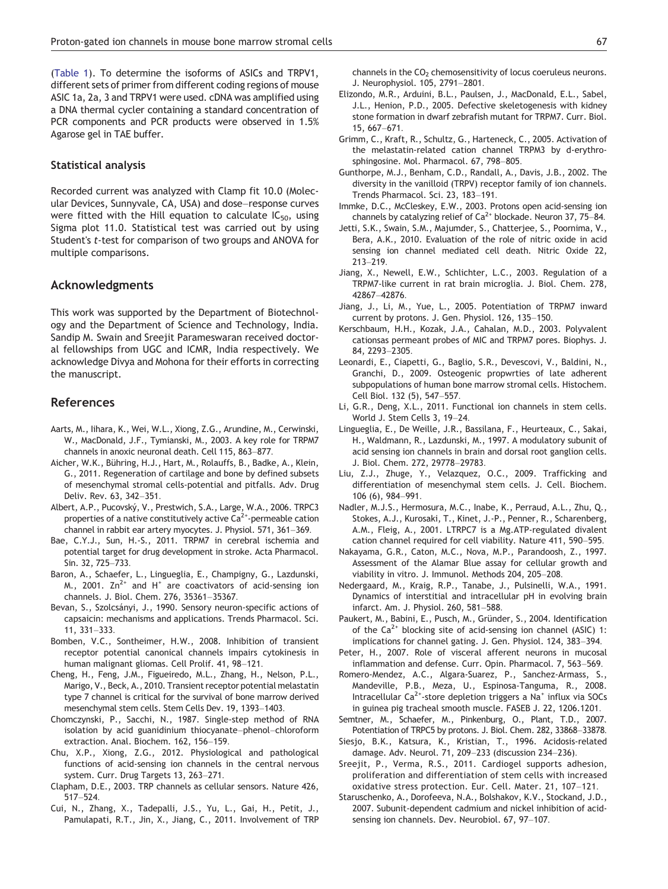<span id="page-8-0"></span>([Table 1](#page-7-0)). To determine the isoforms of ASICs and TRPV1, different sets of primer from different coding regions of mouse ASIC 1a, 2a, 3 and TRPV1 were used. cDNA was amplified using a DNA thermal cycler containing a standard concentration of PCR components and PCR products were observed in 1.5% Agarose gel in TAE buffer.

#### Statistical analysis

Recorded current was analyzed with Clamp fit 10.0 (Molecular Devices, Sunnyvale, CA, USA) and dose–response curves were fitted with the Hill equation to calculate  $IC_{50}$ , using Sigma plot 11.0. Statistical test was carried out by using Student's t-test for comparison of two groups and ANOVA for multiple comparisons.

# Acknowledgments

This work was supported by the Department of Biotechnology and the Department of Science and Technology, India. Sandip M. Swain and Sreejit Parameswaran received doctoral fellowships from UGC and ICMR, India respectively. We acknowledge Divya and Mohona for their efforts in correcting the manuscript.

#### References

- Aarts, M., Iihara, K., Wei, W.L., Xiong, Z.G., Arundine, M., Cerwinski, W., MacDonald, J.F., Tymianski, M., 2003. A key role for TRPM7 channels in anoxic neuronal death. Cell 115, 863–877.
- Aicher, W.K., Bühring, H.J., Hart, M., Rolauffs, B., Badke, A., Klein, G., 2011. Regeneration of cartilage and bone by defined subsets of mesenchymal stromal cells-potential and pitfalls. Adv. Drug Deliv. Rev. 63, 342–351.
- Albert, A.P., Pucovský, V., Prestwich, S.A., Large, W.A., 2006. TRPC3 properties of a native constitutively active  $Ca^{2+}$ -permeable cation channel in rabbit ear artery myocytes. J. Physiol. 571, 361–369.
- Bae, C.Y.J., Sun, H.-S., 2011. TRPM7 in cerebral ischemia and potential target for drug development in stroke. Acta Pharmacol. Sin. 32, 725–733.
- Baron, A., Schaefer, L., Lingueglia, E., Champigny, G., Lazdunski, M., 2001.  $\text{Zn}^{2+}$  and H<sup>+</sup> are coactivators of acid-sensing ion channels. J. Biol. Chem. 276, 35361–35367.
- Bevan, S., Szolcsányi, J., 1990. Sensory neuron-specific actions of capsaicin: mechanisms and applications. Trends Pharmacol. Sci. 11, 331–333.
- Bomben, V.C., Sontheimer, H.W., 2008. Inhibition of transient receptor potential canonical channels impairs cytokinesis in human malignant gliomas. Cell Prolif. 41, 98–121.
- Cheng, H., Feng, J.M., Figueiredo, M.L., Zhang, H., Nelson, P.L., Marigo, V., Beck, A., 2010. Transient receptor potential melastatin type 7 channel is critical for the survival of bone marrow derived mesenchymal stem cells. Stem Cells Dev. 19, 1393–1403.
- Chomczynski, P., Sacchi, N., 1987. Single-step method of RNA isolation by acid guanidinium thiocyanate–phenol–chloroform extraction. Anal. Biochem. 162, 156–159.
- Chu, X.P., Xiong, Z.G., 2012. Physiological and pathological functions of acid-sensing ion channels in the central nervous system. Curr. Drug Targets 13, 263–271.
- Clapham, D.E., 2003. TRP channels as cellular sensors. Nature 426, 517–524.
- Cui, N., Zhang, X., Tadepalli, J.S., Yu, L., Gai, H., Petit, J., Pamulapati, R.T., Jin, X., Jiang, C., 2011. Involvement of TRP

channels in the  $CO<sub>2</sub>$  chemosensitivity of locus coeruleus neurons. J. Neurophysiol. 105, 2791–2801.

- Elizondo, M.R., Arduini, B.L., Paulsen, J., MacDonald, E.L., Sabel, J.L., Henion, P.D., 2005. Defective skeletogenesis with kidney stone formation in dwarf zebrafish mutant for TRPM7. Curr. Biol. 15, 667–671.
- Grimm, C., Kraft, R., Schultz, G., Harteneck, C., 2005. Activation of the melastatin-related cation channel TRPM3 by d-erythrosphingosine. Mol. Pharmacol. 67, 798–805.
- Gunthorpe, M.J., Benham, C.D., Randall, A., Davis, J.B., 2002. The diversity in the vanilloid (TRPV) receptor family of ion channels. Trends Pharmacol. Sci. 23, 183–191.
- Immke, D.C., McCleskey, E.W., 2003. Protons open acid-sensing ion channels by catalyzing relief of  $Ca^{2+}$  blockade. Neuron 37, 75–84.
- Jetti, S.K., Swain, S.M., Majumder, S., Chatterjee, S., Poornima, V., Bera, A.K., 2010. Evaluation of the role of nitric oxide in acid sensing ion channel mediated cell death. Nitric Oxide 22, 213–219.
- Jiang, X., Newell, E.W., Schlichter, L.C., 2003. Regulation of a TRPM7-like current in rat brain microglia. J. Biol. Chem. 278, 42867–42876.
- Jiang, J., Li, M., Yue, L., 2005. Potentiation of TRPM7 inward current by protons. J. Gen. Physiol. 126, 135–150.
- Kerschbaum, H.H., Kozak, J.A., Cahalan, M.D., 2003. Polyvalent cationsas permeant probes of MIC and TRPM7 pores. Biophys. J. 84, 2293–2305.
- Leonardi, E., Ciapetti, G., Baglio, S.R., Devescovi, V., Baldini, N., Granchi, D., 2009. Osteogenic propwrties of late adherent subpopulations of human bone marrow stromal cells. Histochem. Cell Biol. 132 (5), 547–557.
- Li, G.R., Deng, X.L., 2011. Functional ion channels in stem cells. World J. Stem Cells 3, 19–24.
- Lingueglia, E., De Weille, J.R., Bassilana, F., Heurteaux, C., Sakai, H., Waldmann, R., Lazdunski, M., 1997. A modulatory subunit of acid sensing ion channels in brain and dorsal root ganglion cells. J. Biol. Chem. 272, 29778–29783.
- Liu, Z.J., Zhuge, Y., Velazquez, O.C., 2009. Trafficking and differentiation of mesenchymal stem cells. J. Cell. Biochem. 106 (6), 984–991.
- Nadler, M.J.S., Hermosura, M.C., Inabe, K., Perraud, A.L., Zhu, Q., Stokes, A.J., Kurosaki, T., Kinet, J.-P., Penner, R., Scharenberg, A.M., Fleig, A., 2001. LTRPC7 is a Mg.ATP-regulated divalent cation channel required for cell viability. Nature 411, 590–595.
- Nakayama, G.R., Caton, M.C., Nova, M.P., Parandoosh, Z., 1997. Assessment of the Alamar Blue assay for cellular growth and viability in vitro. J. Immunol. Methods 204, 205–208.
- Nedergaard, M., Kraig, R.P., Tanabe, J., Pulsinelli, W.A., 1991. Dynamics of interstitial and intracellular pH in evolving brain infarct. Am. J. Physiol. 260, 581–588.
- Paukert, M., Babini, E., Pusch, M., Gründer, S., 2004. Identification of the  $Ca^{2+}$  blocking site of acid-sensing ion channel (ASIC) 1: implications for channel gating. J. Gen. Physiol. 124, 383–394.
- Peter, H., 2007. Role of visceral afferent neurons in mucosal inflammation and defense. Curr. Opin. Pharmacol. 7, 563–569.
- Romero-Mendez, A.C., Algara-Suarez, P., Sanchez-Armass, S., Mandeville, P.B., Meza, U., Espinosa-Tanguma, R., 2008. Intracellular  $Ca^{2+}$ -store depletion triggers a Na<sup>+</sup> influx via SOCs in guinea pig tracheal smooth muscle. FASEB J. 22, 1206.1201.
- Semtner, M., Schaefer, M., Pinkenburg, O., Plant, T.D., 2007. Potentiation of TRPC5 by protons. J. Biol. Chem. 282, 33868–33878.
- Siesjo, B.K., Katsura, K., Kristian, T., 1996. Acidosis-related damage. Adv. Neurol. 71, 209–233 (discussion 234–236).
- Sreejit, P., Verma, R.S., 2011. Cardiogel supports adhesion, proliferation and differentiation of stem cells with increased oxidative stress protection. Eur. Cell. Mater. 21, 107–121.
- Staruschenko, A., Dorofeeva, N.A., Bolshakov, K.V., Stockand, J.D., 2007. Subunit-dependent cadmium and nickel inhibition of acidsensing ion channels. Dev. Neurobiol. 67, 97–107.